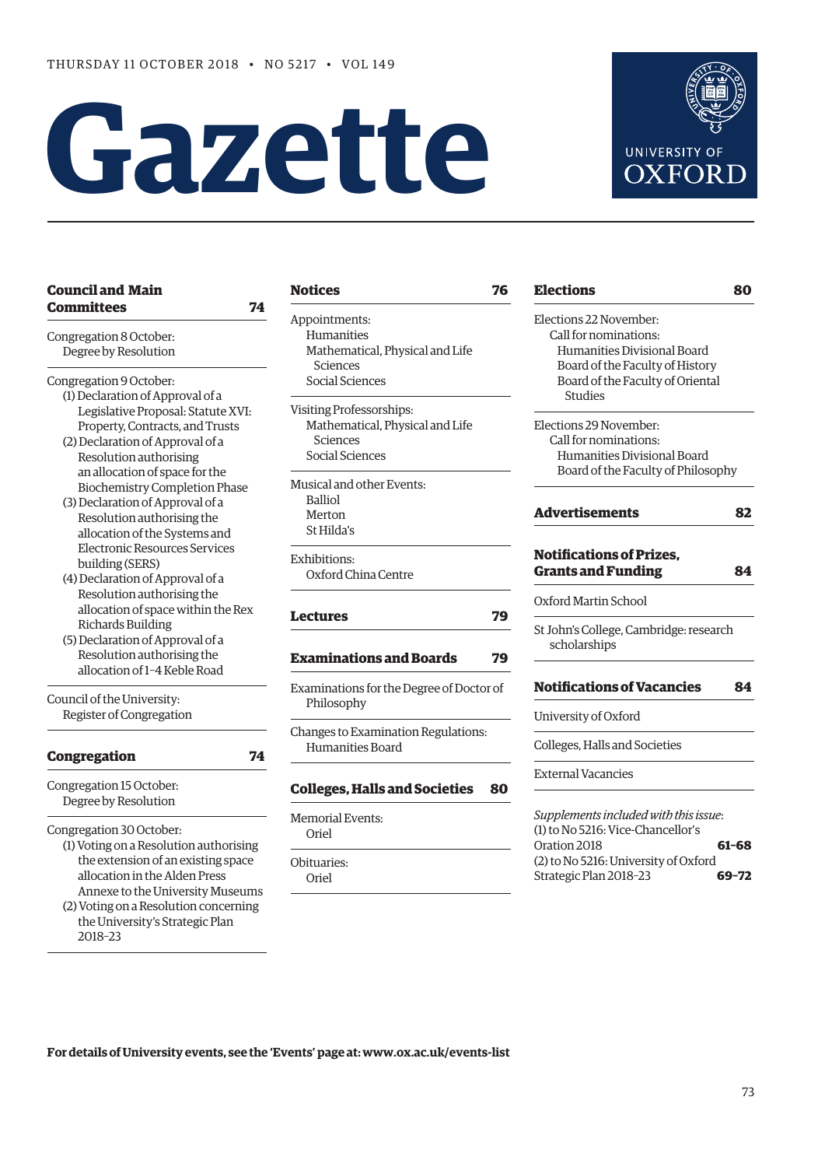$\overline{\phantom{a}}$ 

 $\overline{a}$ 

# **Gazette**



| <b>Council and Main</b>                                                                                                                                                                                                                                                                                                                                                                                                                                                                                                                                                                                           | <b>Notices</b>                                                                             | 76 | <b>Elections</b>                                                                                                     | 80    |
|-------------------------------------------------------------------------------------------------------------------------------------------------------------------------------------------------------------------------------------------------------------------------------------------------------------------------------------------------------------------------------------------------------------------------------------------------------------------------------------------------------------------------------------------------------------------------------------------------------------------|--------------------------------------------------------------------------------------------|----|----------------------------------------------------------------------------------------------------------------------|-------|
| <b>Committees</b><br>74<br>Congregation 8 October:<br>Degree by Resolution                                                                                                                                                                                                                                                                                                                                                                                                                                                                                                                                        | Appointments:<br>Humanities<br>Mathematical, Physical and Life<br><b>Sciences</b>          |    | Elections 22 November:<br>Call for nominations:<br>Humanities Divisional Board<br>Board of the Faculty of History    |       |
| Congregation 9 October:<br>(1) Declaration of Approval of a                                                                                                                                                                                                                                                                                                                                                                                                                                                                                                                                                       | Social Sciences                                                                            |    | Board of the Faculty of Oriental<br><b>Studies</b>                                                                   |       |
| Legislative Proposal: Statute XVI:<br>Property, Contracts, and Trusts<br>(2) Declaration of Approval of a<br>Resolution authorising<br>an allocation of space for the<br><b>Biochemistry Completion Phase</b><br>(3) Declaration of Approval of a<br>Resolution authorising the<br>allocation of the Systems and<br><b>Electronic Resources Services</b><br>building (SERS)<br>(4) Declaration of Approval of a<br>Resolution authorising the<br>allocation of space within the Rex<br><b>Richards Building</b><br>(5) Declaration of Approval of a<br>Resolution authorising the<br>allocation of 1-4 Keble Road | Visiting Professorships:<br>Mathematical, Physical and Life<br>Sciences<br>Social Sciences |    | Elections 29 November:<br>Call for nominations:<br>Humanities Divisional Board<br>Board of the Faculty of Philosophy |       |
|                                                                                                                                                                                                                                                                                                                                                                                                                                                                                                                                                                                                                   | Musical and other Events:<br><b>Balliol</b><br>Merton<br>St Hilda's                        |    | <b>Advertisements</b>                                                                                                | 82    |
|                                                                                                                                                                                                                                                                                                                                                                                                                                                                                                                                                                                                                   | Exhibitions:<br>Oxford China Centre                                                        |    | <b>Notifications of Prizes,</b><br><b>Grants and Funding</b>                                                         | 84    |
|                                                                                                                                                                                                                                                                                                                                                                                                                                                                                                                                                                                                                   | <b>Lectures</b>                                                                            | 79 | Oxford Martin School                                                                                                 |       |
|                                                                                                                                                                                                                                                                                                                                                                                                                                                                                                                                                                                                                   | <b>Examinations and Boards</b>                                                             | 79 | St John's College, Cambridge: research<br>scholarships                                                               |       |
| Council of the University:<br>Register of Congregation                                                                                                                                                                                                                                                                                                                                                                                                                                                                                                                                                            | Examinations for the Degree of Doctor of<br>Philosophy                                     |    | <b>Notifications of Vacancies</b>                                                                                    | 84    |
|                                                                                                                                                                                                                                                                                                                                                                                                                                                                                                                                                                                                                   |                                                                                            |    | University of Oxford                                                                                                 |       |
| <b>Congregation</b><br>74                                                                                                                                                                                                                                                                                                                                                                                                                                                                                                                                                                                         | Changes to Examination Regulations:<br>Humanities Board                                    |    | Colleges, Halls and Societies                                                                                        |       |
| Congregation 15 October:                                                                                                                                                                                                                                                                                                                                                                                                                                                                                                                                                                                          | <b>Colleges, Halls and Societies</b>                                                       | 80 | <b>External Vacancies</b>                                                                                            |       |
| Degree by Resolution<br>Congregation 30 October:<br>(1) Voting on a Resolution authorising<br>the extension of an existing space<br>allocation in the Alden Press<br>Annexe to the University Museums<br>(2) Voting on a Resolution concerning<br>the University's Strategic Plan                                                                                                                                                                                                                                                                                                                                 | <b>Memorial Events:</b><br>Oriel                                                           |    | Supplements included with this issue:<br>(1) to No 5216: Vice-Chancellor's<br>Oration 2018<br>$61 - 68$              |       |
|                                                                                                                                                                                                                                                                                                                                                                                                                                                                                                                                                                                                                   | Obituaries:<br>Oriel                                                                       |    | (2) to No 5216: University of Oxford<br>Strategic Plan 2018-23                                                       | 69-72 |
| 2018-23                                                                                                                                                                                                                                                                                                                                                                                                                                                                                                                                                                                                           |                                                                                            |    |                                                                                                                      |       |

**For details of University events, see the 'Events' page at: [www.ox.ac.uk/events-list](http://www.ox.ac.uk/events-list)**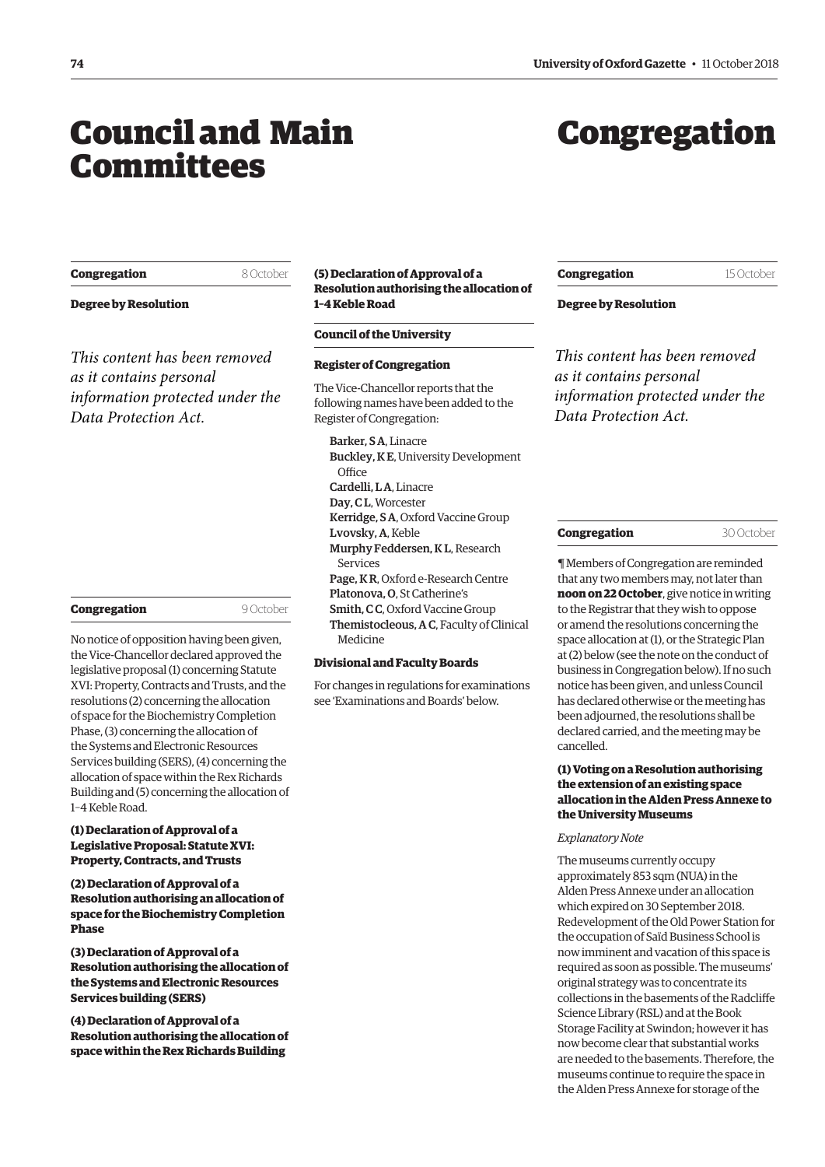## <span id="page-1-0"></span>Council and Main Committees

## Congregation

| Congregation |  |
|--------------|--|
|--------------|--|

8 October

**Degree by Resolution**

*This content has been removed as it contains personal information protected under the Data Protection Act.*

| Congregation |  |
|--------------|--|
|--------------|--|

9 October

No notice of opposition having been given, the Vice-Chancellor declared approved the legislative proposal (1) concerning Statute XVI: Property, Contracts and Trusts, and the resolutions (2) concerning the allocation of space for the Biochemistry Completion Phase, (3) concerning the allocation of the Systems and Electronic Resources Services building (SERS), (4) concerning the allocation of space within the Rex Richards Building and (5) concerning the allocation of 1–4 Keble Road.

#### **(1) Declaration of Approval of a Legislative Proposal: Statute XVI: Property, Contracts, and Trusts**

**(2) Declaration of Approval of a Resolution authorising an allocation of space for the Biochemistry Completion Phase**

**(3) Declaration of Approval of a Resolution authorising the allocation of the Systems and Electronic Resources Services building (SERS)**

**(4) Declaration of Approval of a Resolution authorising the allocation of space within the Rex Richards Building**

#### **(5) Declaration of Approval of a Resolution authorising the allocation of 1–4 Keble Road**

#### **Council of the University**

#### **Register of Congregation**

The Vice-Chancellor reports that the following names have been added to the Register of Congregation:

Barker, S A, Linacre Buckley, K E, University Development **Office** Cardelli, L A, Linacre Day, C L, Worcester Kerridge, S A, Oxford Vaccine Group Lvovsky, A, Keble Murphy Feddersen, K L, Research Services Page, K R, Oxford e-Research Centre Platonova, O, St Catherine's Smith, C C, Oxford Vaccine Group Themistocleous, A C, Faculty of Clinical Medicine

#### **Divisional and Faculty Boards**

For changes in regulations for examinations see 'Examinations and Boards' below.

**Congregation** 15 October

**Degree by Resolution**

*This content has been removed as it contains personal information protected under the Data Protection Act.*

**Congregation** 30 October

¶ Members of Congregation are reminded that any two members may, not later than **noon on 22 October**, give notice in writing to the Registrar that they wish to oppose or amend the resolutions concerning the space allocation at (1), or the Strategic Plan at (2) below (see the note on the conduct of business in Congregation below). If no such notice has been given, and unless Council has declared otherwise or the meeting has been adjourned, the resolutions shall be declared carried, and the meeting may be cancelled.

#### **(1) Voting on a Resolution authorising the extension of an existing space allocation in the Alden Press Annexe to the University Museums**

#### *Explanatory Note*

The museums currently occupy approximately 853 sqm (NUA) in the Alden Press Annexe under an allocation which expired on 30 September 2018. Redevelopment of the Old Power Station for the occupation of Saïd Business School is now imminent and vacation of this space is required as soon as possible. The museums' original strategy was to concentrate its collections in the basements of the Radcliffe Science Library (RSL) and at the Book Storage Facility at Swindon; however it has now become clear that substantial works are needed to the basements. Therefore, the museums continue to require the space in the Alden Press Annexe for storage of the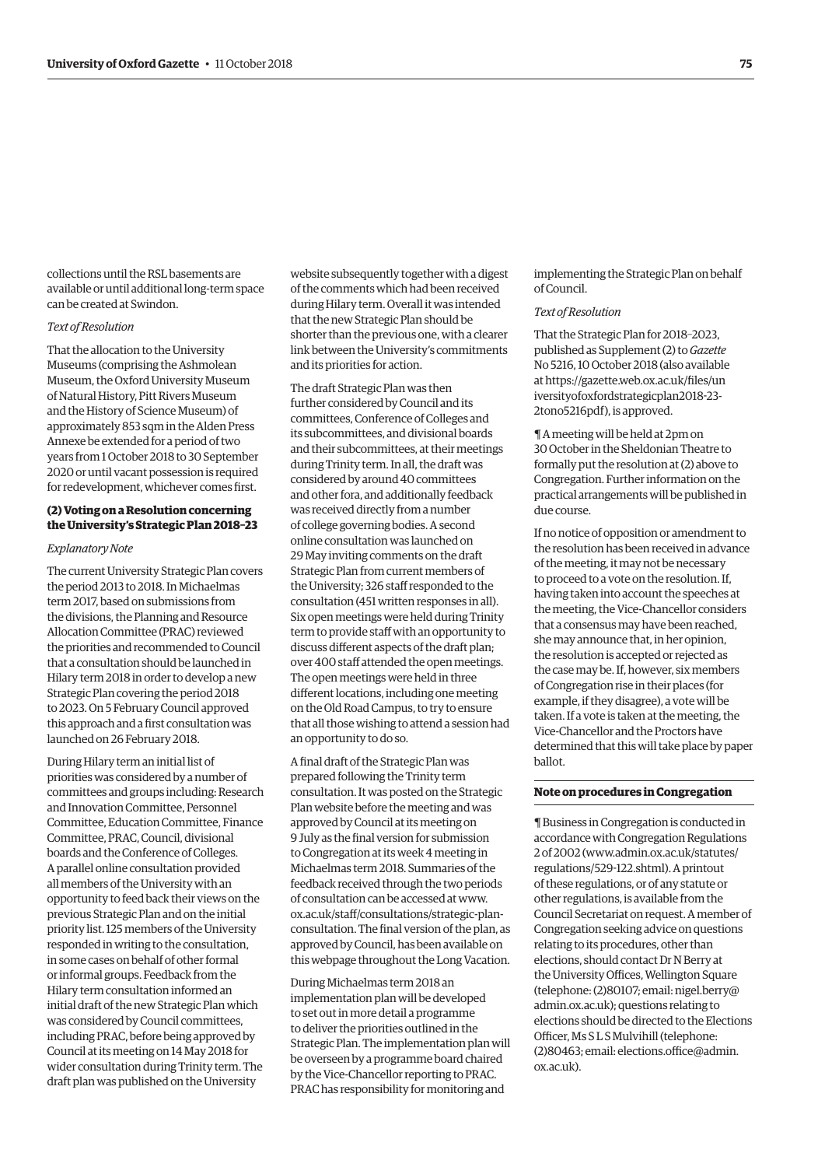collections until the RSL basements are available or until additional long-term space can be created at Swindon.

#### *Text of Resolution*

That the allocation to the University Museums (comprising the Ashmolean Museum, the Oxford University Museum of Natural History, Pitt Rivers Museum and the History of Science Museum) of approximately 853 sqm in the Alden Press Annexe be extended for a period of two years from 1 October 2018 to 30 September 2020 or until vacant possession is required for redevelopment, whichever comes first.

#### **(2) Voting on a Resolution concerning the University's Strategic Plan 2018–23**

#### *Explanatory Note*

The current University Strategic Plan covers the period 2013 to 2018. In Michaelmas term 2017, based on submissions from the divisions, the Planning and Resource Allocation Committee (PRAC) reviewed the priorities and recommended to Council that a consultation should be launched in Hilary term 2018 in order to develop a new Strategic Plan covering the period 2018 to 2023. On 5 February Council approved this approach and a first consultation was launched on 26 February 2018.

During Hilary term an initial list of priorities was considered by a number of committees and groups including: Research and Innovation Committee, Personnel Committee, Education Committee, Finance Committee, PRAC, Council, divisional boards and the Conference of Colleges. A parallel online consultation provided all members of the University with an opportunity to feed back their views on the previous Strategic Plan and on the initial priority list. 125 members of the University responded in writing to the consultation, in some cases on behalf of other formal or informal groups. Feedback from the Hilary term consultation informed an initial draft of the new Strategic Plan which was considered by Council committees, including PRAC, before being approved by Council at its meeting on 14 May 2018 for wider consultation during Trinity term. The draft plan was published on the University

website subsequently together with a digest of the comments which had been received during Hilary term. Overall it was intended that the new Strategic Plan should be shorter than the previous one, with a clearer link between the University's commitments and its priorities for action.

The draft Strategic Plan was then further considered by Council and its committees, Conference of Colleges and its subcommittees, and divisional boards and their subcommittees, at their meetings during Trinity term. In all, the draft was considered by around 40 committees and other fora, and additionally feedback was received directly from a number of college governing bodies. A second online consultation was launched on 29 May inviting comments on the draft Strategic Plan from current members of the University; 326 staff responded to the consultation (451 written responses in all). Six open meetings were held during Trinity term to provide staff with an opportunity to discuss different aspects of the draft plan; over 400 staff attended the open meetings. The open meetings were held in three different locations, including one meeting on the Old Road Campus, to try to ensure that all those wishing to attend a session had an opportunity to do so.

A final draft of the Strategic Plan was prepared following the Trinity term consultation. It was posted on the Strategic Plan website before the meeting and was approved by Council at its meeting on 9 July as the final version for submission to Congregation at its week 4 meeting in Michaelmas term 2018. Summaries of the feedback received through the two periods of consultation can be accessed at www. ox.ac.uk/staff/consultations/strategic-plan[consultation. The final version of the plan, as](www.ox.ac.uk/staff/consultations/strategic-plan-consultation)  approved by Council, has been available on this webpage throughout the Long Vacation.

During Michaelmas term 2018 an implementation plan will be developed to set out in more detail a programme to deliver the priorities outlined in the Strategic Plan. The implementation plan will be overseen by a programme board chaired by the Vice-Chancellor reporting to PRAC. PRAC has responsibility for monitoring and

implementing the Strategic Plan on behalf of Council.

#### *Text of Resolution*

That the Strategic Plan for 2018–2023, published as Supplement (2) to *Gazette* No 5216, 10 October 2018 (also available [at https://gazette.web.ox.ac.uk/files/un](https://gazette.web.ox.ac.uk/files/universityofoxfordstrategicplan2018-23-2tono5216pdf) iversityofoxfordstrategicplan2018-23- 2tono5216pdf), is approved.

¶ A meeting will be held at 2pm on 30 October in the Sheldonian Theatre to formally put the resolution at (2) above to Congregation. Further information on the practical arrangements will be published in due course.

If no notice of opposition or amendment to the resolution has been received in advance of the meeting, it may not be necessary to proceed to a vote on the resolution. If, having taken into account the speeches at the meeting, the Vice-Chancellor considers that a consensus may have been reached, she may announce that, in her opinion, the resolution is accepted or rejected as the case may be. If, however, six members of Congregation rise in their places (for example, if they disagree), a vote will be taken. If a vote is taken at the meeting, the Vice-Chancellor and the Proctors have determined that this will take place by paper ballot.

#### **Note on procedures in Congregation**

¶ Business in Congregation is conducted in accordance with Congregation Regulations 2 of 2002 [\(www.admin.ox.ac.uk/statutes/](http://www.admin.ox.ac.uk/statutes/regulations/529-122.shtml) [regulations/529-122.shtml\). A p](http://www.admin.ox.ac.uk/statutes/regulations/529-122.shtml)rintout of these regulations, or of any statute or other regulations, is available from the Council Secretariat on request. A member of Congregation seeking advice on questions relating to its procedures, other than elections, should contact Dr N Berry at the University Offices, Wellington Square [\(telephone: \(2\)80107; email: nigel.berry@](mailto:nigel.berry@admin.ox.ac.uk) admin.ox.ac.uk); questions relating to elections should be directed to the Elections Officer, Ms S L S Mulvihill (telephone: [\(2\)80463; email: elections.office@admin.](mailto:elections.office@admin.ox.ac.uk) ox.ac.uk).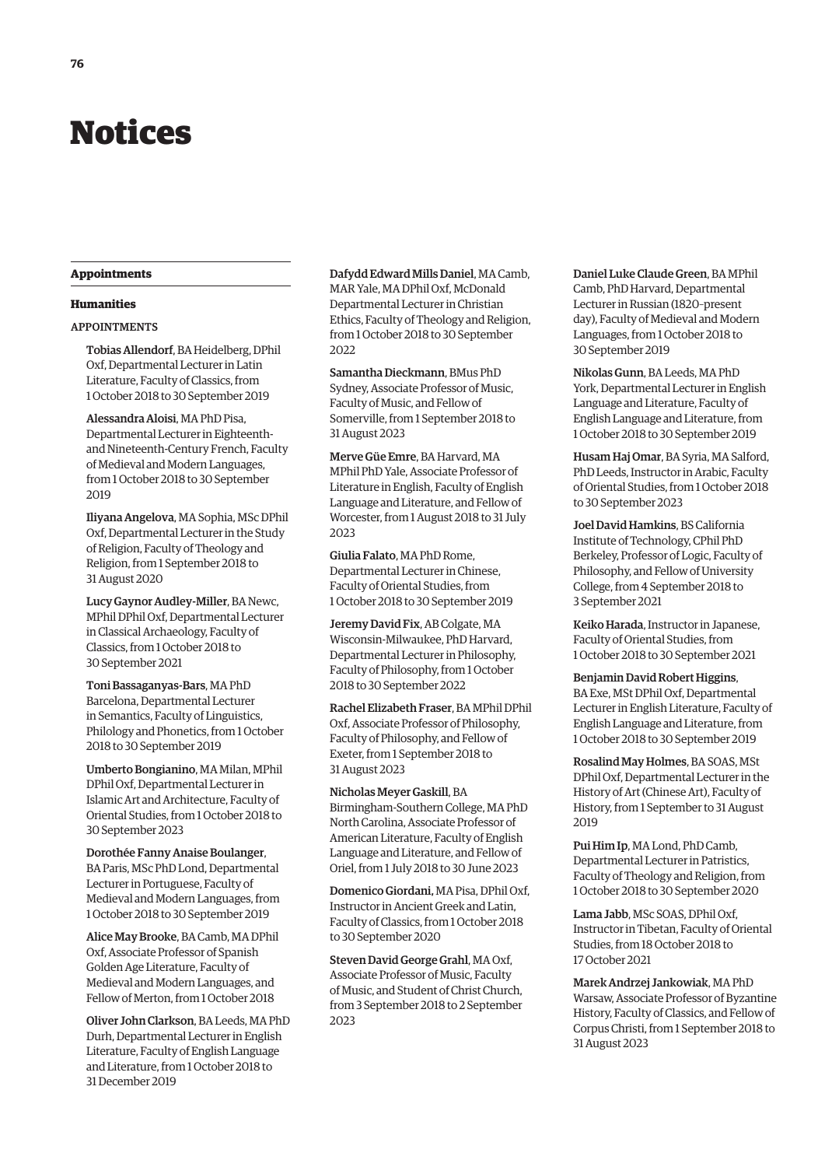## <span id="page-3-0"></span>Notices

#### **Appointments**

#### **Humanities**

#### APPOINTMENTS

Tobias Allendorf, BA Heidelberg, DPhil Oxf, Departmental Lecturer in Latin Literature, Faculty of Classics, from 1 October 2018 to 30 September 2019

Alessandra Aloisi, MA PhD Pisa, Departmental Lecturer in Eighteenthand Nineteenth-Century French, Faculty of Medieval and Modern Languages, from 1 October 2018 to 30 September 2019

Iliyana Angelova, MA Sophia, MSc DPhil Oxf, Departmental Lecturer in the Study of Religion, Faculty of Theology and Religion, from 1 September 2018 to 31 August 2020

Lucy Gaynor Audley-Miller, BA Newc, MPhil DPhil Oxf, Departmental Lecturer in Classical Archaeology, Faculty of Classics, from 1 October 2018 to 30 September 2021

Toni Bassaganyas-Bars, MA PhD Barcelona, Departmental Lecturer in Semantics, Faculty of Linguistics, Philology and Phonetics, from 1 October 2018 to 30 September 2019

Umberto Bongianino, MA Milan, MPhil DPhil Oxf, Departmental Lecturer in Islamic Art and Architecture, Faculty of Oriental Studies, from 1 October 2018 to 30 September 2023

Dorothée Fanny Anaise Boulanger, BA Paris, MSc PhD Lond, Departmental Lecturer in Portuguese, Faculty of Medieval and Modern Languages, from 1 October 2018 to 30 September 2019

Alice May Brooke, BA Camb, MA DPhil Oxf, Associate Professor of Spanish Golden Age Literature, Faculty of Medieval and Modern Languages, and Fellow of Merton, from 1 October 2018

Oliver John Clarkson, BA Leeds, MA PhD Durh, Departmental Lecturer in English Literature, Faculty of English Language and Literature, from 1 October 2018 to 31 December 2019

Dafydd Edward Mills Daniel, MA Camb, MAR Yale, MA DPhil Oxf, McDonald Departmental Lecturer in Christian Ethics, Faculty of Theology and Religion, from 1 October 2018 to 30 September 2022

Samantha Dieckmann, BMus PhD Sydney, Associate Professor of Music, Faculty of Music, and Fellow of Somerville, from 1 September 2018 to 31 August 2023

Merve Güe Emre, BA Harvard, MA MPhil PhD Yale, Associate Professor of Literature in English, Faculty of English Language and Literature, and Fellow of Worcester, from 1 August 2018 to 31 July 2023

Giulia Falato, MA PhD Rome, Departmental Lecturer in Chinese, Faculty of Oriental Studies, from 1 October 2018 to 30 September 2019

Jeremy David Fix, AB Colgate, MA Wisconsin-Milwaukee, PhD Harvard, Departmental Lecturer in Philosophy, Faculty of Philosophy, from 1 October 2018 to 30 September 2022

Rachel Elizabeth Fraser, BA MPhil DPhil Oxf, Associate Professor of Philosophy, Faculty of Philosophy, and Fellow of Exeter, from 1 September 2018 to 31 August 2023

Nicholas Meyer Gaskill, BA Birmingham-Southern College, MA PhD North Carolina, Associate Professor of American Literature, Faculty of English Language and Literature, and Fellow of Oriel, from 1 July 2018 to 30 June 2023

Domenico Giordani, MA Pisa, DPhil Oxf, Instructor in Ancient Greek and Latin, Faculty of Classics, from 1 October 2018 to 30 September 2020

Steven David George Grahl, MA Oxf, Associate Professor of Music, Faculty of Music, and Student of Christ Church, from 3 September 2018 to 2 September 2023

Daniel Luke Claude Green, BA MPhil Camb, PhD Harvard, Departmental Lecturer in Russian (1820–present day), Faculty of Medieval and Modern Languages, from 1 October 2018 to 30 September 2019

Nikolas Gunn, BA Leeds, MA PhD York, Departmental Lecturer in English Language and Literature, Faculty of English Language and Literature, from 1 October 2018 to 30 September 2019

Husam Haj Omar, BA Syria, MA Salford, PhD Leeds, Instructor in Arabic, Faculty of Oriental Studies, from 1 October 2018 to 30 September 2023

Joel David Hamkins, BS California Institute of Technology, CPhil PhD Berkeley, Professor of Logic, Faculty of Philosophy, and Fellow of University College, from 4 September 2018 to 3 September 2021

Keiko Harada, Instructor in Japanese, Faculty of Oriental Studies, from 1 October 2018 to 30 September 2021

Benjamin David Robert Higgins, BA Exe, MSt DPhil Oxf, Departmental Lecturer in English Literature, Faculty of English Language and Literature, from 1 October 2018 to 30 September 2019

Rosalind May Holmes, BA SOAS, MSt DPhil Oxf, Departmental Lecturer in the History of Art (Chinese Art), Faculty of History, from 1 September to 31 August 2019

Pui Him Ip, MA Lond, PhD Camb, Departmental Lecturer in Patristics, Faculty of Theology and Religion, from 1 October 2018 to 30 September 2020

Lama Jabb, MSc SOAS, DPhil Oxf, Instructor in Tibetan, Faculty of Oriental Studies, from 18 October 2018 to 17 October 2021

Marek Andrzej Jankowiak, MA PhD Warsaw, Associate Professor of Byzantine History, Faculty of Classics, and Fellow of Corpus Christi, from 1 September 2018 to 31 August 2023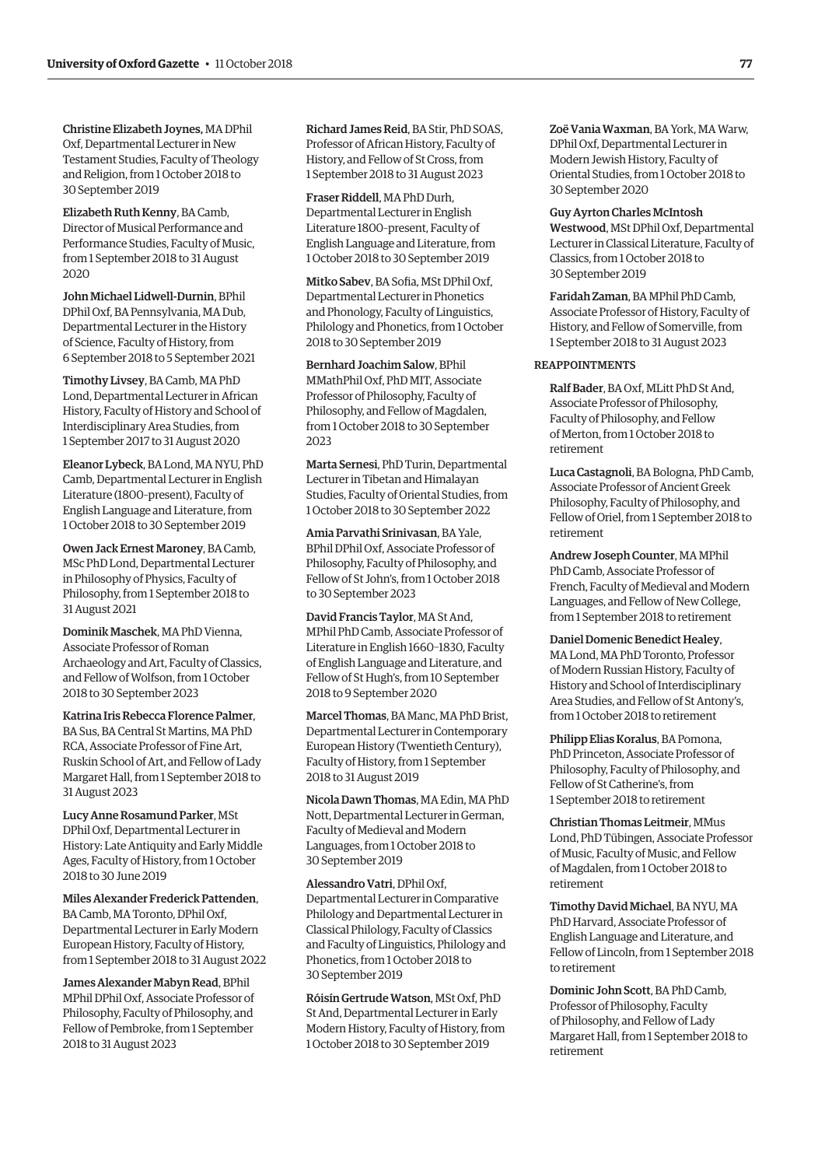Christine Elizabeth Joynes, MA DPhil Oxf, Departmental Lecturer in New Testament Studies, Faculty of Theology and Religion, from 1 October 2018 to 30 September 2019

Elizabeth Ruth Kenny, BA Camb, Director of Musical Performance and Performance Studies, Faculty of Music, from 1 September 2018 to 31 August 2020

John Michael Lidwell-Durnin, BPhil DPhil Oxf, BA Pennsylvania, MA Dub, Departmental Lecturer in the History of Science, Faculty of History, from 6 September 2018 to 5 September 2021

Timothy Livsey, BA Camb, MA PhD Lond, Departmental Lecturer in African History, Faculty of History and School of Interdisciplinary Area Studies, from 1 September 2017 to 31 August 2020

Eleanor Lybeck, BA Lond, MA NYU, PhD Camb, Departmental Lecturer in English Literature (1800–present), Faculty of English Language and Literature, from 1 October 2018 to 30 September 2019

Owen Jack Ernest Maroney, BA Camb, MSc PhD Lond, Departmental Lecturer in Philosophy of Physics, Faculty of Philosophy, from 1 September 2018 to 31 August 2021

Dominik Maschek, MA PhD Vienna, Associate Professor of Roman Archaeology and Art, Faculty of Classics, and Fellow of Wolfson, from 1 October 2018 to 30 September 2023

Katrina Iris Rebecca Florence Palmer, BA Sus, BA Central St Martins, MA PhD RCA, Associate Professor of Fine Art, Ruskin School of Art, and Fellow of Lady Margaret Hall, from 1 September 2018 to 31 August 2023

Lucy Anne Rosamund Parker, MSt DPhil Oxf, Departmental Lecturer in History: Late Antiquity and Early Middle Ages, Faculty of History, from 1 October 2018 to 30 June 2019

Miles Alexander Frederick Pattenden, BA Camb, MA Toronto, DPhil Oxf, Departmental Lecturer in Early Modern European History, Faculty of History, from 1 September 2018 to 31 August 2022

James Alexander Mabyn Read, BPhil MPhil DPhil Oxf, Associate Professor of Philosophy, Faculty of Philosophy, and Fellow of Pembroke, from 1 September 2018 to 31 August 2023

Richard James Reid, BA Stir, PhD SOAS, Professor of African History, Faculty of History, and Fellow of St Cross, from 1 September 2018 to 31 August 2023

Fraser Riddell, MA PhD Durh, Departmental Lecturer in English Literature 1800–present, Faculty of English Language and Literature, from 1 October 2018 to 30 September 2019

Mitko Sabev, BA Sofia, MSt DPhil Oxf, Departmental Lecturer in Phonetics and Phonology, Faculty of Linguistics, Philology and Phonetics, from 1 October 2018 to 30 September 2019

Bernhard Joachim Salow, BPhil MMathPhil Oxf, PhD MIT, Associate Professor of Philosophy, Faculty of Philosophy, and Fellow of Magdalen, from 1 October 2018 to 30 September 2023

Marta Sernesi, PhD Turin, Departmental Lecturer in Tibetan and Himalayan Studies, Faculty of Oriental Studies, from 1 October 2018 to 30 September 2022

Amia Parvathi Srinivasan, BA Yale, BPhil DPhil Oxf, Associate Professor of Philosophy, Faculty of Philosophy, and Fellow of St John's, from 1 October 2018 to 30 September 2023

David Francis Taylor, MA St And, MPhil PhD Camb, Associate Professor of Literature in English 1660–1830, Faculty of English Language and Literature, and Fellow of St Hugh's, from 10 September 2018 to 9 September 2020

Marcel Thomas, BA Manc, MA PhD Brist, Departmental Lecturer in Contemporary European History (Twentieth Century), Faculty of History, from 1 September 2018 to 31 August 2019

Nicola Dawn Thomas, MA Edin, MA PhD Nott, Departmental Lecturer in German, Faculty of Medieval and Modern Languages, from 1 October 2018 to 30 September 2019

Alessandro Vatri, DPhil Oxf, Departmental Lecturer in Comparative Philology and Departmental Lecturer in Classical Philology, Faculty of Classics and Faculty of Linguistics, Philology and Phonetics, from 1 October 2018 to

30 September 2019

Róisín Gertrude Watson, MSt Oxf, PhD St And, Departmental Lecturer in Early Modern History, Faculty of History, from 1 October 2018 to 30 September 2019

Zoë Vania Waxman, BA York, MA Warw, DPhil Oxf, Departmental Lecturer in Modern Jewish History, Faculty of Oriental Studies, from 1 October 2018 to 30 September 2020

#### Guy Ayrton Charles McIntosh

Westwood, MSt DPhil Oxf, Departmental Lecturer in Classical Literature, Faculty of Classics, from 1 October 2018 to 30 September 2019

Faridah Zaman, BA MPhil PhD Camb, Associate Professor of History, Faculty of History, and Fellow of Somerville, from 1 September 2018 to 31 August 2023

#### REAPPOINTMENTS

Ralf Bader, BA Oxf, MLitt PhD St And, Associate Professor of Philosophy, Faculty of Philosophy, and Fellow of Merton, from 1 October 2018 to retirement

Luca Castagnoli, BA Bologna, PhD Camb, Associate Professor of Ancient Greek Philosophy, Faculty of Philosophy, and Fellow of Oriel, from 1 September 2018 to retirement

Andrew Joseph Counter, MA MPhil PhD Camb, Associate Professor of French, Faculty of Medieval and Modern Languages, and Fellow of New College, from 1 September 2018 to retirement

Daniel Domenic Benedict Healey, MA Lond, MA PhD Toronto, Professor of Modern Russian History, Faculty of History and School of Interdisciplinary Area Studies, and Fellow of St Antony's, from 1 October 2018 to retirement

Philipp Elias Koralus, BA Pomona, PhD Princeton, Associate Professor of Philosophy, Faculty of Philosophy, and Fellow of St Catherine's, from 1 September 2018 to retirement

Christian Thomas Leitmeir, MMus Lond, PhD Tübingen, Associate Professor of Music, Faculty of Music, and Fellow of Magdalen, from 1 October 2018 to retirement

Timothy David Michael, BA NYU, MA PhD Harvard, Associate Professor of English Language and Literature, and Fellow of Lincoln, from 1 September 2018 to retirement

Dominic John Scott, BA PhD Camb, Professor of Philosophy, Faculty of Philosophy, and Fellow of Lady Margaret Hall, from 1 September 2018 to retirement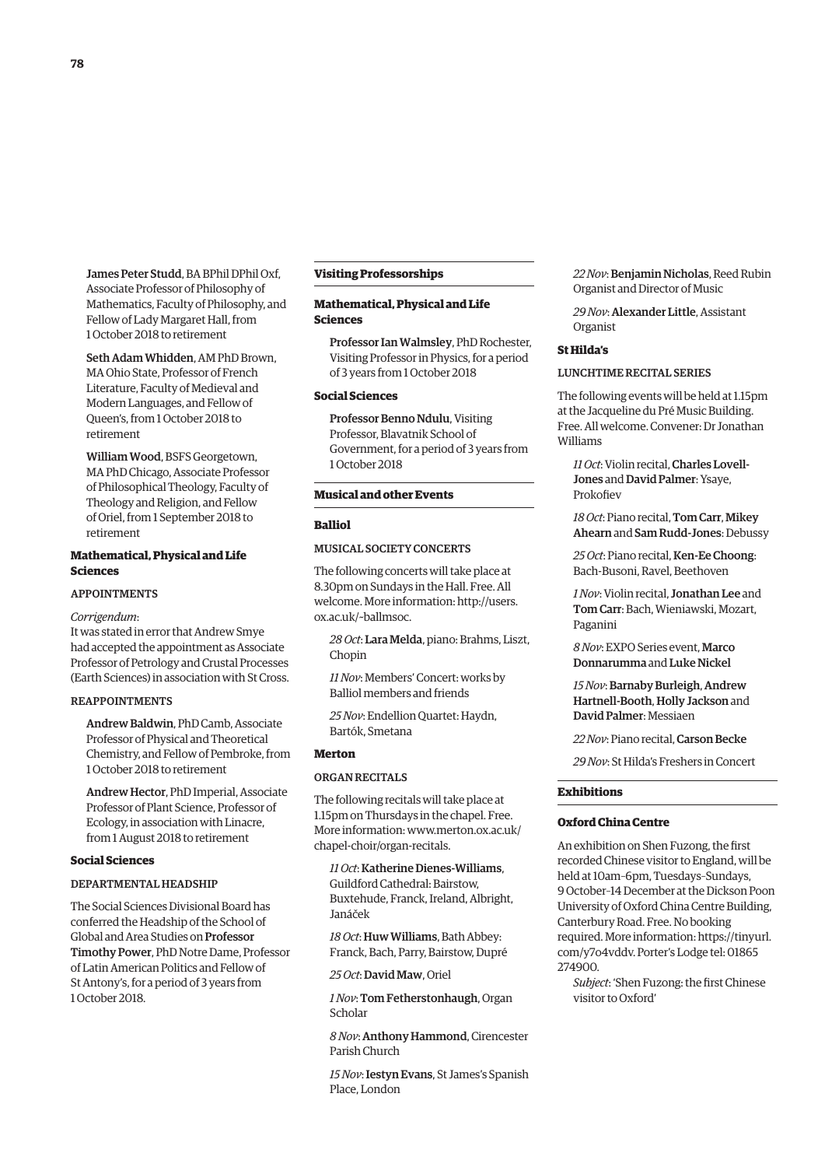James Peter Studd, BA BPhil DPhil Oxf, Associate Professor of Philosophy of Mathematics, Faculty of Philosophy, and Fellow of Lady Margaret Hall, from 1 October 2018 to retirement

Seth Adam Whidden, AM PhD Brown, MA Ohio State, Professor of French Literature, Faculty of Medieval and Modern Languages, and Fellow of Queen's, from 1 October 2018 to retirement

William Wood, BSFS Georgetown, MA PhD Chicago, Associate Professor of Philosophical Theology, Faculty of Theology and Religion, and Fellow of Oriel, from 1 September 2018 to retirement

#### **Mathematical, Physical and Life Sciences**

#### APPOINTMENTS

*Corrigendum*:

It was stated in error that Andrew Smye had accepted the appointment as Associate Professor of Petrology and Crustal Processes (Earth Sciences) in association with St Cross.

#### REAPPOINTMENTS

Andrew Baldwin, PhD Camb, Associate Professor of Physical and Theoretical Chemistry, and Fellow of Pembroke, from 1 October 2018 to retirement

Andrew Hector, PhD Imperial, Associate Professor of Plant Science, Professor of Ecology, in association with Linacre, from 1 August 2018 to retirement

#### **Social Sciences**

#### DEPARTMENTAL HEADSHIP

The Social Sciences Divisional Board has conferred the Headship of the School of Global and Area Studies on Professor Timothy Power, PhD Notre Dame, Professor of Latin American Politics and Fellow of St Antony's, for a period of 3 years from 1 October 2018.

#### **Visiting Professorships**

#### **Mathematical, Physical and Life Sciences**

Professor Ian Walmsley, PhD Rochester, Visiting Professor in Physics, for a period of 3 years from 1 October 2018

#### **Social Sciences**

Professor Benno Ndulu, Visiting Professor, Blavatnik School of Government, for a period of 3 years from 1 October 2018

## **Musical and other Events**

#### **Balliol**

#### MUSICAL SOCIETY CONCERTS

The following concerts will take place at 8.30pm on Sundays in the Hall. Free. All [welcome. More information: http://users.](http://users.ox.ac.uk/~ballmsoc) ox.ac.uk/~ballmsoc.

*28 Oct*: Lara Melda, piano: Brahms, Liszt, Chopin

*11 Nov*: Members' Concert: works by Balliol members and friends

*25 Nov*: Endellion Quartet: Haydn, Bartók, Smetana

#### **Merton**

#### ORGAN RECITALS

The following recitals will take place at 1.15pm on Thursdays in the chapel. Free. [More information: www.merton.ox.ac.uk/](www.merton.ox.ac.uk/chapel-choir/organ-recitals) chapel-choir/organ-recitals.

*11 Oct*: Katherine Dienes-Williams, Guildford Cathedral: Bairstow, Buxtehude, Franck, Ireland, Albright, Janáček

*18 Oct*: Huw Williams, Bath Abbey: Franck, Bach, Parry, Bairstow, Dupré

*25 Oct*: David Maw, Oriel

*1 Nov*: Tom Fetherstonhaugh, Organ Scholar

*8 Nov*: Anthony Hammond, Cirencester Parish Church

*15 Nov*: Iestyn Evans, St James's Spanish Place, London

*22 Nov*: Benjamin Nicholas, Reed Rubin Organist and Director of Music

*29 Nov*: Alexander Little, Assistant Organist

#### **St Hilda's**

#### LUNCHTIME RECITAL SERIES

The following events will be held at 1.15pm at the Jacqueline du Pré Music Building. Free. All welcome. Convener: Dr Jonathan Williams

*11 Oct*: Violin recital, Charles Lovell-Jones and David Palmer: Ysaye, Prokofiev

*18 Oct*: Piano recital, Tom Carr, Mikey Ahearn and Sam Rudd-Jones: Debussy

*25 Oct*: Piano recital, Ken-Ee Choong: Bach-Busoni, Ravel, Beethoven

*1 Nov*: Violin recital, Jonathan Lee and Tom Carr: Bach, Wieniawski, Mozart, Paganini

*8 Nov*: EXPO Series event, Marco Donnarumma and Luke Nickel

*15 Nov*: Barnaby Burleigh, Andrew Hartnell-Booth, Holly Jackson and David Palmer: Messiaen

*22 Nov*: Piano recital, Carson Becke

*29 Nov*: St Hilda's Freshers in Concert

#### **Exhibitions**

#### **Oxford China Centre**

An exhibition on Shen Fuzong, the first recorded Chinese visitor to England, will be held at 10am–6pm, Tuesdays–Sundays, 9 October–14 December at the Dickson Poon University of Oxford China Centre Building, Canterbury Road. Free. No booking [required. More information: https://tinyurl.](https://tinyurl.com/y7o4vddv) com/y7o4vddv. Porter's Lodge tel: 01865 274900.

*Subject*: 'Shen Fuzong: the first Chinese visitor to Oxford'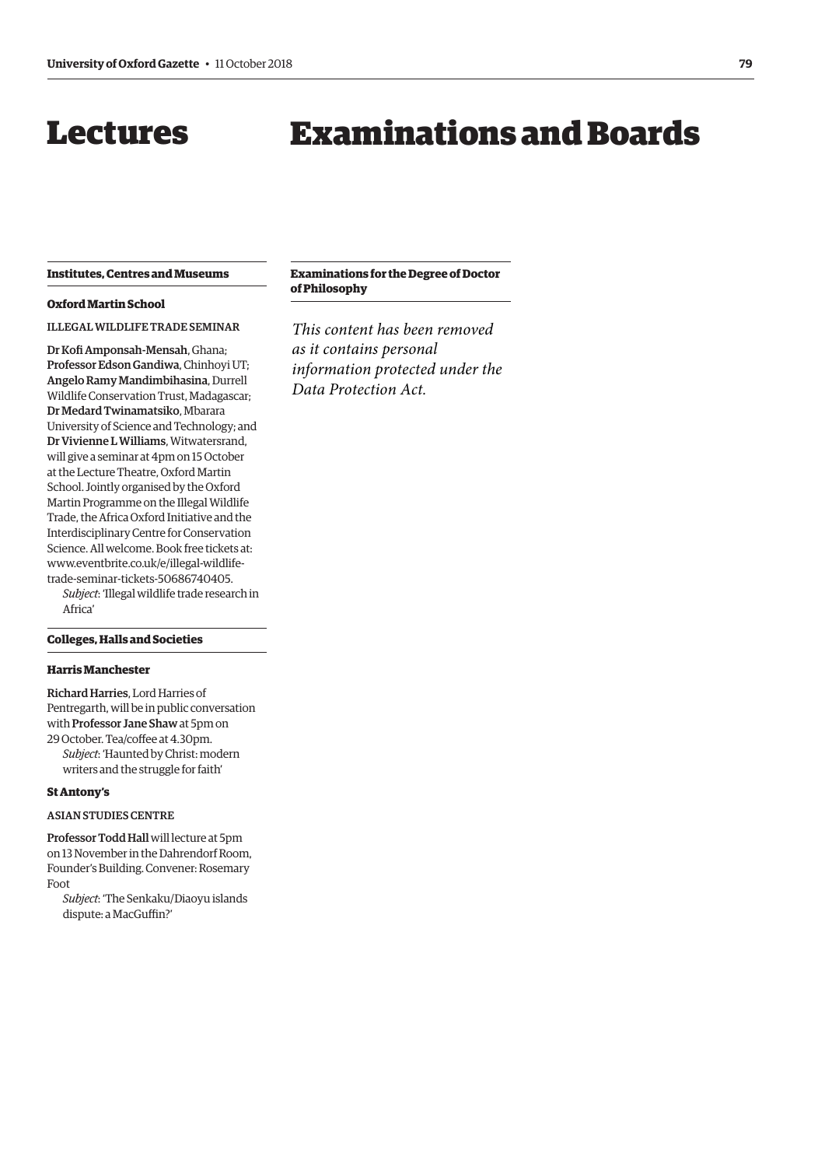## <span id="page-6-0"></span>Lectures

# Examinations and Boards

#### **Institutes, Centres and Museums**

#### **Oxford Martin School**

ILLEGAL WILDLIFE TRADE SEMINAR

Dr Kofi Amponsah-Mensah, Ghana; Professor Edson Gandiwa, Chinhoyi UT; Angelo Ramy Mandimbihasina, Durrell Wildlife Conservation Trust, Madagascar; Dr Medard Twinamatsiko, Mbarara University of Science and Technology; and Dr Vivienne L Williams, Witwatersrand, will give a seminar at 4pm on 15 October at the Lecture Theatre, Oxford Martin School. Jointly organised by the Oxford Martin Programme on the Illegal Wildlife Trade, the Africa Oxford Initiative and the Interdisciplinary Centre for Conservation Science. All welcome. Book free tickets at: [www.eventbrite.co.uk/e/illegal-wildlife](www.eventbrite.co.uk/e/illegal-wildlife-trade-seminar-tickets-50686740405)trade-seminar-tickets-50686740405.

*Subject*: 'Illegal wildlife trade research in Africa'

#### **Colleges, Halls and Societies**

#### **Harris Manchester**

Richard Harries, Lord Harries of Pentregarth, will be in public conversation with Professor Jane Shaw at 5pm on 29 October. Tea/coffee at 4.30pm. *Subject*: 'Haunted by Christ: modern writers and the struggle for faith'

#### **St Antony's**

#### ASIAN STUDIES CENTRE

Professor Todd Hall will lecture at 5pm on 13 November in the Dahrendorf Room, Founder's Building. Convener: Rosemary Foot

*Subject*: 'The Senkaku/Diaoyu islands dispute: a MacGuffin?'

#### **Examinations for the Degree of Doctor of Philosophy**

*This content has been removed as it contains personal information protected under the Data Protection Act.*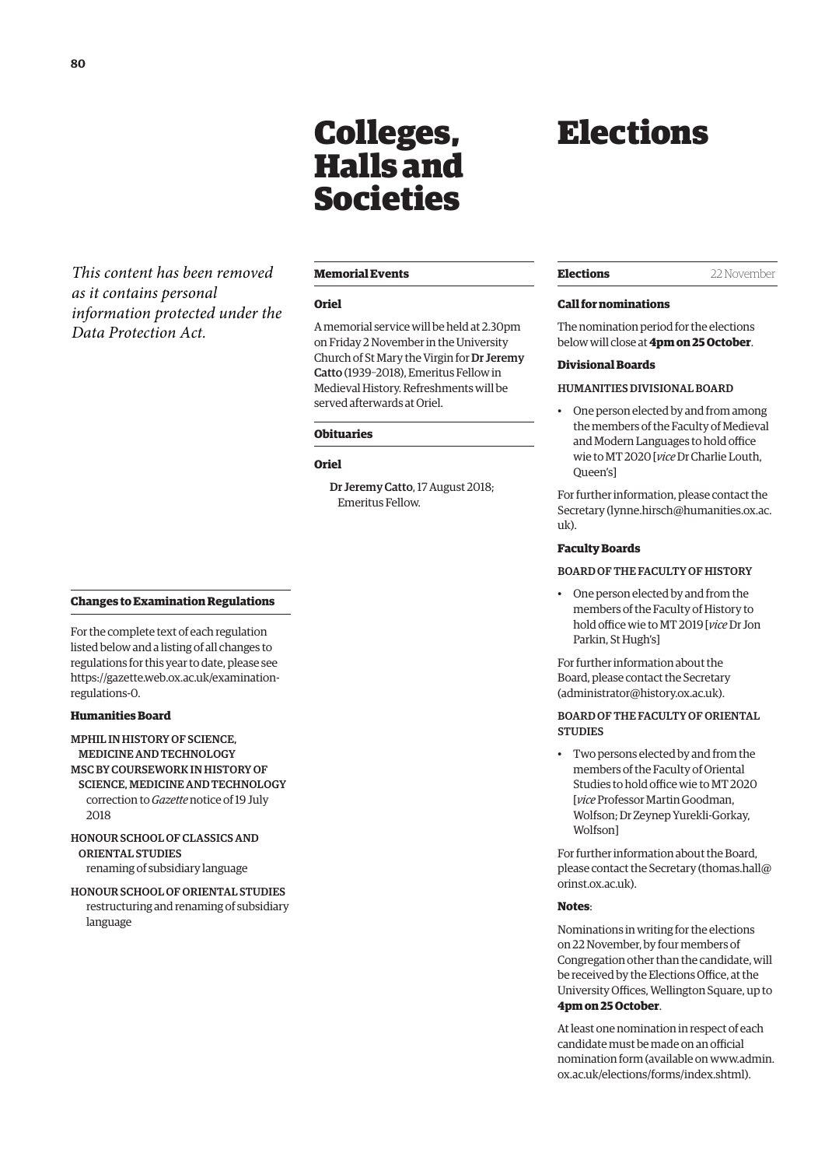# Colleges, Halls and Societies

<span id="page-7-0"></span>*This content has been removed as it contains personal information protected under the Data Protection Act.*

#### **Memorial Events**

#### **Oriel**

A memorial service will be held at 2.30pm on Friday 2 November in the University Church of St Mary the Virgin for Dr Jeremy Catto (1939–2018), Emeritus Fellow in Medieval History. Refreshments will be served afterwards at Oriel.

#### **Obituaries**

#### **Oriel**

Dr Jeremy Catto, 17 August 2018; Emeritus Fellow.

## Elections

#### **Elections** 22 November

#### **Call for nominations**

The nomination period for the elections below will close at **4pm on 25 October**.

#### **Divisional Boards**

#### HUMANITIES DIVISIONAL BOARD

• One person elected by and from among the members of the Faculty of Medieval and Modern Languages to hold office wie to MT 2020 [*vice* Dr Charlie Louth, Queen's]

For further information, please contact the Secretary ([lynne.hirsch@humanities.ox.ac.](mailto:lynne.hirsch@humanities.ox.ac.uk) [uk\).](mailto:lynne.hirsch@humanities.ox.ac.uk)

#### **Faculty Boards**

#### BOARD OF THE FACULTY OF HISTORY

• One person elected by and from the members of the Faculty of History to hold office wie to MT 2019 [*vice* Dr Jon Parkin, St Hugh's]

For further information about the Board, please contact the Secretary [\(administrator@history.ox.ac.uk\).](mailto:administrator@history.ox.ac.uk)

#### BOARD OF THE FACULTY OF ORIENTAL **STUDIES**

Two persons elected by and from the members of the Faculty of Oriental Studies to hold office wie to MT 2020 [*vice* Professor Martin Goodman, Wolfson; Dr Zeynep Yurekli-Gorkay, Wolfson]

For further information about the Board, please contact the Secretary [\(thomas.hall@](mailto:thomas.hall@orinst.ox.ac.uk) [orinst.ox.ac.uk\).](mailto:thomas.hall@orinst.ox.ac.uk)

#### **Notes**:

Nominations in writing for the elections on 22 November, by four members of Congregation other than the candidate, will be received by the Elections Office, at the University Offices, Wellington Square, up to **4pm on 25 October**.

At least one nomination in respect of each candidate must be made on an official [nomination form \(available on www.admin.](www.admin.ox.ac.uk/elections/forms/index.shtml) ox.ac.uk/elections/forms/index.shtml).

#### **Changes to Examination Regulations**

For the complete text of each regulation listed below and a listing of all changes to regulations for this year to date, please see [https://gazette.web.ox.ac.uk/examination](https://gazette.web.ox.ac.uk/examination-regulations-0)regulations-0.

#### **Humanities Board**

MPHIL IN HISTORY OF SCIENCE, MEDICINE AND TECHNOLOGY MSC BY COURSEWORK IN HISTORY OF SCIENCE, MEDICINE AND TECHNOLOGY correction to *Gazette* notice of 19 July 2018

HONOUR SCHOOL OF CLASSICS AND ORIENTAL STUDIES renaming of subsidiary language

HONOUR SCHOOL OF ORIENTAL STUDIES restructuring and renaming of subsidiary language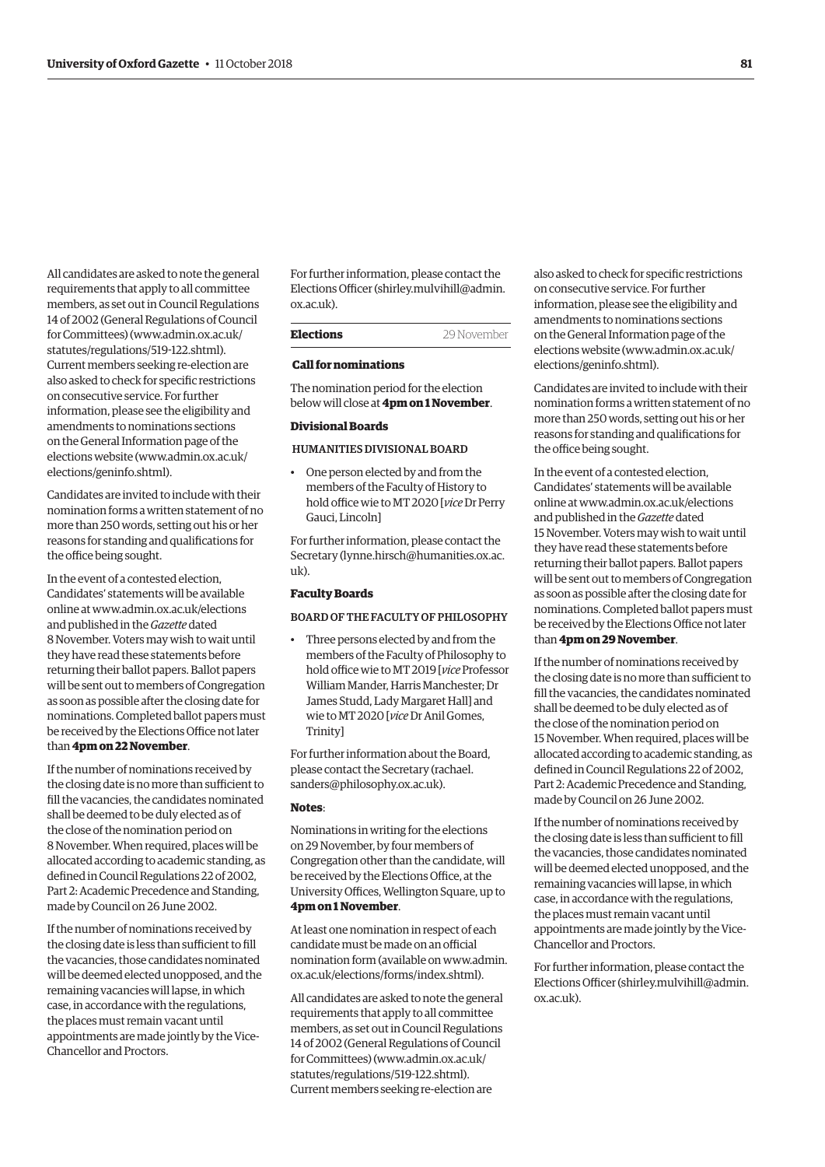All candidates are asked to note the general requirements that apply to all committee members, as set out in Council Regulations 14 of 2002 (General Regulations of Council for Committees) [\(www.admin.ox.ac.uk/](http://www.admin.ox.ac.uk/statutes/regulations/519-122.shtml) [statutes/regulations/519-122.shtml\).](http://www.admin.ox.ac.uk/statutes/regulations/519-122.shtml)  Current members seeking re-election are also asked to check for specific restrictions on consecutive service. For further information, please see the eligibility and amendments to nominations sections on the General Information page of the elections website [\(www.admin.ox.ac.uk/](http://www.admin.ox.ac.uk/elections/geninfo.shtml) [elections/geninfo.shtml\).](http://www.admin.ox.ac.uk/elections/geninfo.shtml) 

Candidates are invited to include with their nomination forms a written statement of no more than 250 words, setting out his or her reasons for standing and qualifications for the office being sought.

In the event of a contested election, Candidates' statements will be available online at [www.admin.ox.ac.uk/elections](http://www.admin.ox.ac.uk/elections)  and published in the *Gazette* dated 8 November. Voters may wish to wait until they have read these statements before returning their ballot papers. Ballot papers will be sent out to members of Congregation as soon as possible after the closing date for nominations. Completed ballot papers must be received by the Elections Office not later than **4pm on 22 November**.

If the number of nominations received by the closing date is no more than sufficient to fill the vacancies, the candidates nominated shall be deemed to be duly elected as of the close of the nomination period on 8 November. When required, places will be allocated according to academic standing, as defined in Council Regulations 22 of 2002, Part 2: Academic Precedence and Standing, made by Council on 26 June 2002.

If the number of nominations received by the closing date is less than sufficient to fill the vacancies, those candidates nominated will be deemed elected unopposed, and the remaining vacancies will lapse, in which case, in accordance with the regulations, the places must remain vacant until appointments are made jointly by the Vice-Chancellor and Proctors.

For further information, please contact the Elections Officer ([shirley.mulvihill@admin.](mailto:shirley.mulvihill@admin.ox.ac.uk) [ox.ac.uk\).](mailto:shirley.mulvihill@admin.ox.ac.uk) 

#### **Elections** 29 November

#### **Call for nominations**

The nomination period for the election below will close at **4pm on 1 November**.

#### **Divisional Boards**

#### HUMANITIES DIVISIONAL BOARD

• One person elected by and from the members of the Faculty of History to hold office wie to MT 2020 [*vice* Dr Perry Gauci, Lincoln]

For further information, please contact the Secretary ([lynne.hirsch@humanities.ox.ac.](mailto:lynne.hirsch@humanities.ox.ac.uk) [uk\).](mailto:lynne.hirsch@humanities.ox.ac.uk)

#### **Faculty Boards**

#### BOARD OF THE FACULTY OF PHILOSOPHY

• Three persons elected by and from the members of the Faculty of Philosophy to hold office wie to MT 2019 [*vice* Professor William Mander, Harris Manchester; Dr James Studd, Lady Margaret Hall] and wie to MT 2020 [*vice* Dr Anil Gomes, Trinity]

For further information about the Board, [please contact the Secretary \(rachael.](mailto:rachael.sanders@philosophy.ox.ac.uk) sanders@philosophy.ox.ac.uk).

#### **Notes**:

Nominations in writing for the elections on 29 November, by four members of Congregation other than the candidate, will be received by the Elections Office, at the University Offices, Wellington Square, up to **4pm on 1 November**.

At least one nomination in respect of each candidate must be made on an official [nomination form \(available on www.admin.](www.admin.ox.ac.uk/elections/forms/index.shtml) ox.ac.uk/elections/forms/index.shtml).

All candidates are asked to note the general requirements that apply to all committee members, as set out in Council Regulations 14 of 2002 (General Regulations of Council for Committees) [\(www.admin.ox.ac.uk/](http://www.admin.ox.ac.uk/statutes/regulations/519-122.shtml) [statutes/regulations/519-122.shtml\).](http://www.admin.ox.ac.uk/statutes/regulations/519-122.shtml)  Current members seeking re-election are

also asked to check for specific restrictions on consecutive service. For further information, please see the eligibility and amendments to nominations sections on the General Information page of the elections website ([www.admin.ox.ac.uk/](http://www.admin.ox.ac.uk/elections/geninfo.shtml) [elections/geninfo.shtml\).](http://www.admin.ox.ac.uk/elections/geninfo.shtml) 

Candidates are invited to include with their nomination forms a written statement of no more than 250 words, setting out his or her reasons for standing and qualifications for the office being sought.

In the event of a contested election, Candidates' statements will be available online at [www.admin.ox.ac.uk/elections](http://www.admin.ox.ac.uk/elections)  and published in the *Gazette* dated 15 November. Voters may wish to wait until they have read these statements before returning their ballot papers. Ballot papers will be sent out to members of Congregation as soon as possible after the closing date for nominations. Completed ballot papers must be received by the Elections Office not later than **4pm on 29 November**.

If the number of nominations received by the closing date is no more than sufficient to fill the vacancies, the candidates nominated shall be deemed to be duly elected as of the close of the nomination period on 15 November. When required, places will be allocated according to academic standing, as defined in Council Regulations 22 of 2002, Part 2: Academic Precedence and Standing, made by Council on 26 June 2002.

If the number of nominations received by the closing date is less than sufficient to fill the vacancies, those candidates nominated will be deemed elected unopposed, and the remaining vacancies will lapse, in which case, in accordance with the regulations, the places must remain vacant until appointments are made jointly by the Vice-Chancellor and Proctors.

For further information, please contact the Elections Officer [\(shirley.mulvihill@admin.](mailto:shirley.mulvihill@admin.ox.ac.uk) [ox.ac.uk\).](mailto:shirley.mulvihill@admin.ox.ac.uk)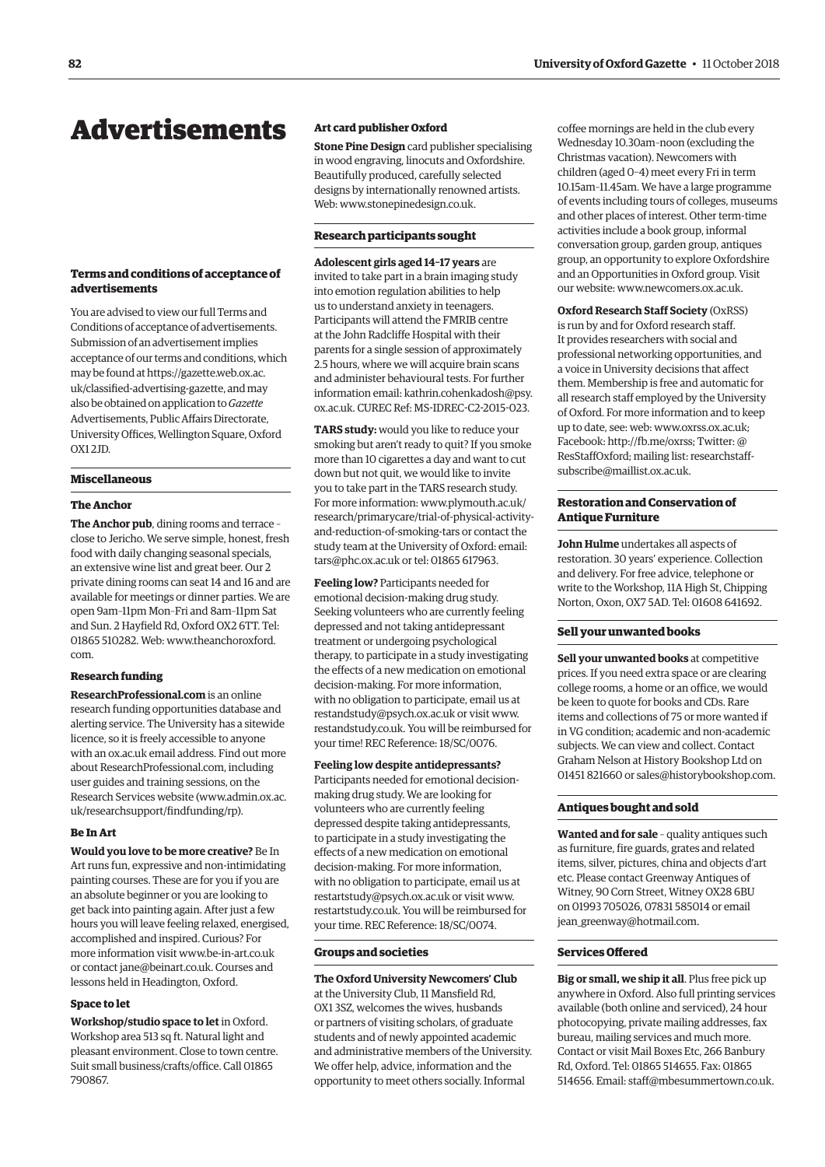## <span id="page-9-0"></span>Advertisements

#### **Terms and conditions of acceptance of advertisements**

You are advised to view our full Terms and Conditions of acceptance of advertisements. Submission of an advertisement implies acceptance of our terms and conditions, which may be found at https://gazette.web.ox.ac. [uk/classified-advertising-gazette, and may](https://gazette.web.ox.ac.uk/classified-advertising-gazette)  also be obtained on application to *Gazette* Advertisements, Public Affairs Directorate, University Offices, Wellington Square, Oxford  $OX12ID$ 

#### **Miscellaneous**

#### **The Anchor**

**The Anchor pub**, dining rooms and terrace – close to Jericho. We serve simple, honest, fresh food with daily changing seasonal specials, an extensive wine list and great beer. Our 2 private dining rooms can seat 14 and 16 and are available for meetings or dinner parties. We are open 9am–11pm Mon–Fri and 8am–11pm Sat and Sun. 2 Hayfield Rd, Oxford OX2 6TT. Tel: [01865 510282. Web: www.theanchoroxford.](www.theanchoroxford.com) com.

#### **Research funding**

**ResearchProfessional.com** is an online research funding opportunities database and alerting service. The University has a sitewide licence, so it is freely accessible to anyone with an ox.ac.uk email address. Find out more about ResearchProfessional.com, including user guides and training sessions, on the Research Services website [\(www.admin.ox.ac.](http://www.admin.ox.ac.uk/researchsupport/findfunding/rp) [uk/researchsupport/findfunding/rp\).](http://www.admin.ox.ac.uk/researchsupport/findfunding/rp) 

#### **Be In Art**

**Would you love to be more creative?** Be In Art runs fun, expressive and non-intimidating painting courses. These are for you if you are an absolute beginner or you are looking to get back into painting again. After just a few hours you will leave feeling relaxed, energised, accomplished and inspired. Curious? For more information visit [www.be-in-art.co.uk](http://www.be-in-art.co.uk)  or contact [jane@beinart.co.uk. Co](mailto:jane@beinart.co.uk)urses and lessons held in Headington, Oxford.

#### **Space to let**

**Workshop/studio space to let** in Oxford. Workshop area 513 sq ft. Natural light and pleasant environment. Close to town centre. Suit small business/crafts/office. Call 01865 790867.

#### **Art card publisher Oxford**

**Stone Pine Design** card publisher specialising in wood engraving, linocuts and Oxfordshire. Beautifully produced, carefully selected designs by internationally renowned artists. Web: [www.stonepinedesign.co.uk.](http://www.stonepinedesign.co.uk)

#### **Research participants sought**

**Adolescent girls aged 14–17 years** are invited to take part in a brain imaging study into emotion regulation abilities to help us to understand anxiety in teenagers. Participants will attend the FMRIB centre at the John Radcliffe Hospital with their parents for a single session of approximately 2.5 hours, where we will acquire brain scans and administer behavioural tests. For further [information email: kathrin.cohenkadosh@psy.](mailto:kathrin.cohenkadosh@psy.ox.ac.uk) ox.ac.uk. CUREC Ref: MS-IDREC-C2-2015-023.

**TARS study:** would you like to reduce your smoking but aren't ready to quit? If you smoke more than 10 cigarettes a day and want to cut down but not quit, we would like to invite you to take part in the TARS research study. For more information: www.plymouth.ac.uk/ [research/primarycare/trial-of-physical-activity](www.plymouth.ac.uk/research/primarycare/trial-of-physical-activity-and-reduction-of-smoking-tars)and-reduction-of-smoking-tars or contact the study team at the University of Oxford: email: [tars@phc.ox.ac.uk or](mailto:tars@phc.ox.ac.uk) tel: 01865 617963.

**Feeling low?** Participants needed for emotional decision-making drug study. Seeking volunteers who are currently feeling depressed and not taking antidepressant treatment or undergoing psychological therapy, to participate in a study investigating the effects of a new medication on emotional decision-making. For more information, with no obligation to participate, email us at [restandstudy@psych.ox.ac.uk or](mailto:restandstudy@psych.ox.ac.uk) visit [www.](http://www.restandstudy.co.uk) [restandstudy.co.uk. Yo](http://www.restandstudy.co.uk)u will be reimbursed for your time! REC Reference: 18/SC/0076.

#### **Feeling low despite antidepressants?**

Participants needed for emotional decisionmaking drug study. We are looking for volunteers who are currently feeling depressed despite taking antidepressants, to participate in a study investigating the effects of a new medication on emotional decision-making. For more information, with no obligation to participate, email us at [restartstudy@psych.ox.ac.uk or](mailto:restartstudy@psych.ox.ac.uk) visit [www.](http://www.restartstudy.co.uk) [restartstudy.co.uk. Yo](http://www.restartstudy.co.uk)u will be reimbursed for your time. REC Reference: 18/SC/0074.

#### **Groups and societies**

#### **The Oxford University Newcomers' Club**

at the University Club, 11 Mansfield Rd, OX1 3SZ, welcomes the wives, husbands or partners of visiting scholars, of graduate students and of newly appointed academic and administrative members of the University. We offer help, advice, information and the opportunity to meet others socially. Informal

coffee mornings are held in the club every Wednesday 10.30am–noon (excluding the Christmas vacation). Newcomers with children (aged 0–4) meet every Fri in term 10.15am–11.45am. We have a large programme of events including tours of colleges, museums and other places of interest. Other term-time activities include a book group, informal conversation group, garden group, antiques group, an opportunity to explore Oxfordshire and an Opportunities in Oxford group. Visit our website: [www.newcomers.ox.ac.uk.](http://www.newcomers.ox.ac.uk) 

**Oxford Research Staff Society** (OxRSS) is run by and for Oxford research staff. It provides researchers with social and professional networking opportunities, and a voice in University decisions that affect them. Membership is free and automatic for all research staff employed by the University of Oxford. For more information and to keep up to date, see: web: [www.oxrss.ox.ac.uk;](http://www.oxrss.ox.ac.uk)  Facebook: [http://fb.me/oxrss; Tw](http://fb.me/oxrss)itter: @ [ResStaffOxford; mailing list: researchstaff](mailto:researchstaff-subscribe@maillist.ox.ac.uk)subscribe@maillist.ox.ac.uk.

#### **Restoration and Conservation of Antique Furniture**

**John Hulme** undertakes all aspects of restoration. 30 years' experience. Collection and delivery. For free advice, telephone or write to the Workshop, 11A High St, Chipping Norton, Oxon, OX7 5AD. Tel: 01608 641692.

#### **Sell your unwanted books**

**Sell your unwanted books** at competitive prices. If you need extra space or are clearing college rooms, a home or an office, we would be keen to quote for books and CDs. Rare items and collections of 75 or more wanted if in VG condition; academic and non-academic subjects. We can view and collect. Contact Graham Nelson at History Bookshop Ltd on 01451 821660 or [sales@historybookshop.com.](mailto:sales@historybookshop.com)

#### **Antiques bought and sold**

**Wanted and for sale** – quality antiques such as furniture, fire guards, grates and related items, silver, pictures, china and objects d'art etc. Please contact Greenway Antiques of Witney, 90 Corn Street, Witney OX28 6BU on 01993 705026, 07831 585014 or email jean greenway@hotmail.com.

#### **Services Offered**

**Big or small, we ship it all**. Plus free pick up anywhere in Oxford. Also full printing services available (both online and serviced), 24 hour photocopying, private mailing addresses, fax bureau, mailing services and much more. Contact or visit Mail Boxes Etc, 266 Banbury Rd, Oxford. Tel: 01865 514655. Fax: 01865 514656. Email: [staff@mbesummertown.co.uk.](mailto:staff@mbesummertown.co.uk)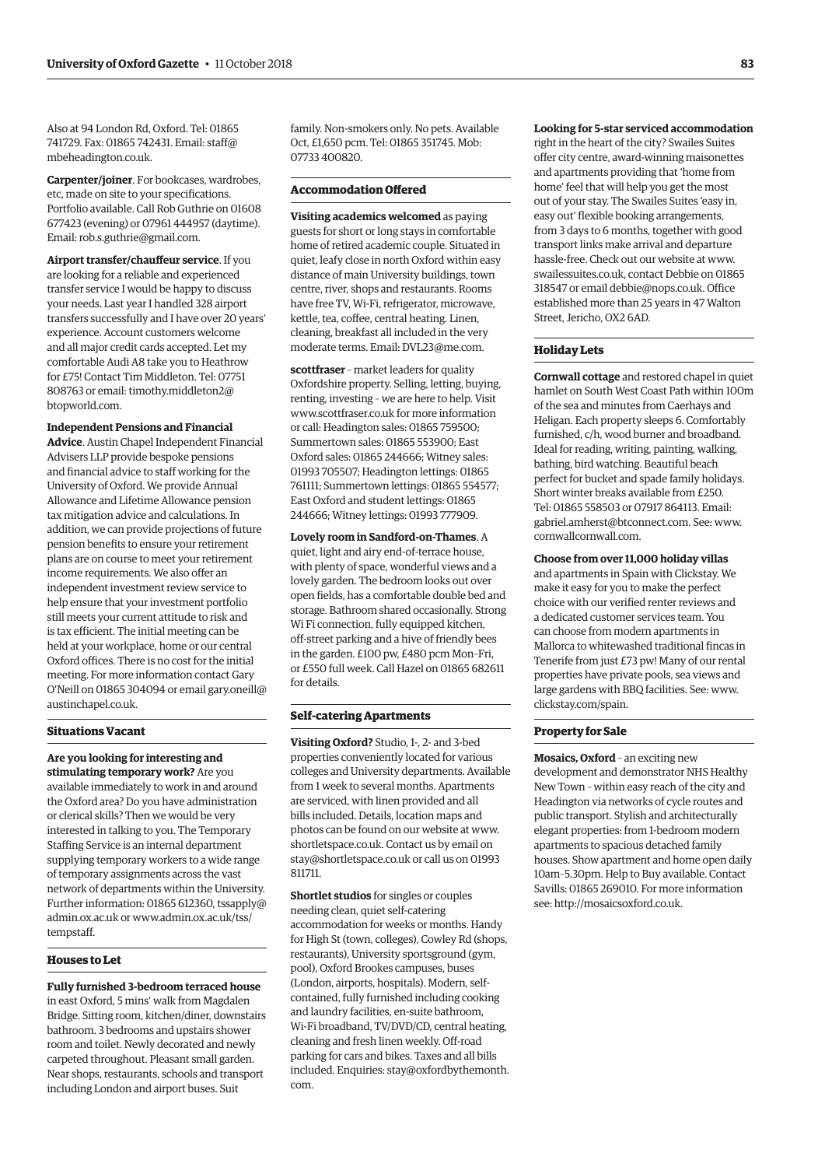Also at 94 London Rd, Oxford. Tel: 01865 [741729. Fax: 01865 742431. Email: staff@](mailto:staff@mbeheadington.co.uk) mbeheadington.co.uk.

**Carpenter/joiner**. For bookcases, wardrobes, etc, made on site to your specifications. Portfolio available. Call Rob Guthrie on 01608 677423 (evening) or 07961 444957 (daytime). Email: [rob.s.guthrie@gmail.com.](mailto:rob.s.guthrie@gmail.com)

**Airport transfer/chauffeur service**. If you are looking for a reliable and experienced transfer service I would be happy to discuss your needs. Last year I handled 328 airport transfers successfully and I have over 20 years' experience. Account customers welcome and all major credit cards accepted. Let my comfortable Audi A8 take you to Heathrow for £75! Contact Tim Middleton. Tel: 07751 [808763 or email: timothy.middleton2@](mailto:timothy.middleton@btopworld.com) btopworld.com.

#### **Independent Pensions and Financial**

**Advice**. Austin Chapel Independent Financial Advisers LLP provide bespoke pensions and financial advice to staff working for the University of Oxford. We provide Annual Allowance and Lifetime Allowance pension tax mitigation advice and calculations. In addition, we can provide projections of future pension benefits to ensure your retirement plans are on course to meet your retirement income requirements. We also offer an independent investment review service to help ensure that your investment portfolio still meets your current attitude to risk and is tax efficient. The initial meeting can be held at your workplace, home or our central Oxford offices. There is no cost for the initial meeting. For more information contact Gary [O'Neill on 01865 304094 or email gary.oneill@](mailto:gary.oneill@austinchapel.co.uk) austinchapel.co.uk.

#### **Situations Vacant**

**Are you looking for interesting and stimulating temporary work?** Are you available immediately to work in and around the Oxford area? Do you have administration or clerical skills? Then we would be very interested in talking to you. The Temporary Staffing Service is an internal department supplying temporary workers to a wide range of temporary assignments across the vast network of departments within the University. Further information: 01865 [612360, tssapply@](mailto:tssapply@admin.ox.ac.uk) admin.ox.ac.uk o[r www.admin.ox.ac.uk/tss/](www.admin.ox.ac.uk/tss/tempstaff) tempstaff.

### **Houses to Let**

**Fully furnished 3-bedroom terraced house** in east Oxford, 5 mins' walk from Magdalen Bridge. Sitting room, kitchen/diner, downstairs bathroom. 3 bedrooms and upstairs shower room and toilet. Newly decorated and newly carpeted throughout. Pleasant small garden. Near shops, restaurants, schools and transport including London and airport buses. Suit

family. Non-smokers only. No pets. Available Oct, £1,650 pcm. Tel: 01865 351745. Mob: 07733 400820.

#### **Accommodation Offered**

**Visiting academics welcomed** as paying guests for short or long stays in comfortable home of retired academic couple. Situated in quiet, leafy close in north Oxford within easy distance of main University buildings, town centre, river, shops and restaurants. Rooms have free TV, Wi-Fi, refrigerator, microwave, kettle, tea, coffee, central heating. Linen, cleaning, breakfast all included in the very moderate terms. Email: [DVL23@me.com.](mailto:DVL23@me.com)

**scottfraser** – market leaders for quality Oxfordshire property. Selling, letting, buying, renting, investing – we are here to help. Visit [www.scottfraser.co.uk fo](http://www.scottfraser.co.uk)r more information or call: Headington sales: 01865 759500; Summertown sales: 01865 553900; East Oxford sales: 01865 244666; Witney sales: 01993 705507; Headington lettings: 01865 761111; Summertown lettings: 01865 554577; East Oxford and student lettings: 01865 244666; Witney lettings: 01993 777909.

**Lovely room in Sandford-on-Thames**. A quiet, light and airy end-of-terrace house, with plenty of space, wonderful views and a lovely garden. The bedroom looks out over open fields, has a comfortable double bed and storage. Bathroom shared occasionally. Strong Wi Fi connection, fully equipped kitchen, off-street parking and a hive of friendly bees in the garden. £100 pw, £480 pcm Mon–Fri, or £550 full week. Call Hazel on 01865 682611 for details.

#### **Self-catering Apartments**

**Visiting Oxford?** Studio, 1-, 2- and 3-bed properties conveniently located for various colleges and University departments. Available from 1 week to several months. Apartments are serviced, with linen provided and all bills included. Details, location maps and photos can be found on our website at [www.](http://www.shortletspace.co.uk) [shortletspace.co.uk. Co](http://www.shortletspace.co.uk)ntact us by email on [stay@shortletspace.co.uk or](mailto:stay@shortletspace.co.uk) call us on 01993 811711.

**Shortlet studios** for singles or couples needing clean, quiet self-catering accommodation for weeks or months. Handy for High St (town, colleges), Cowley Rd (shops, restaurants), University sportsground (gym, pool), Oxford Brookes campuses, buses (London, airports, hospitals). Modern, selfcontained, fully furnished including cooking and laundry facilities, en-suite bathroom, Wi-Fi broadband, TV/DVD/CD, central heating, cleaning and fresh linen weekly. Off-road parking for cars and bikes. Taxes and all bills [included. Enquiries: stay@oxfordbythemonth.](mailto:stay@oxfordbythemonth.com) com.

#### **Looking for 5-star serviced accommodation**

right in the heart of the city? Swailes Suites offer city centre, award-winning maisonettes and apartments providing that 'home from home' feel that will help you get the most out of your stay. The Swailes Suites 'easy in, easy out' flexible booking arrangements, from 3 days to 6 months, together with good transport links make arrival and departure hassle-free. Check out our website at [www.](http://www.swailessuites.co.uk) [swailessuites.co.uk, co](http://www.swailessuites.co.uk)ntact Debbie on 01865 318547 or email [debbie@nops.co.uk. Of](mailto:debbie@nops.co.uk)fice established more than 25 years in 47 Walton Street, Jericho, OX2 6AD.

#### **Holiday Lets**

**Cornwall cottage** and restored chapel in quiet hamlet on South West Coast Path within 100m of the sea and minutes from Caerhays and Heligan. Each property sleeps 6. Comfortably furnished, c/h, wood burner and broadband. Ideal for reading, writing, painting, walking, bathing, bird watching. Beautiful beach perfect for bucket and spade family holidays. Short winter breaks available from £250. Tel: 01865 558503 or 07917 864113. Email: [gabriel.amherst@btconnect.com. Se](mailto:gabriel.amherst@btconnect.com)e: [www.](http://www.cornwallcornwall.com) [cornwallcornwall.com.](http://www.cornwallcornwall.com)

#### **Choose from over 11,000 holiday villas**

and apartments in Spain with Clickstay. We make it easy for you to make the perfect choice with our verified renter reviews and a dedicated customer services team. You can choose from modern apartments in Mallorca to whitewashed traditional fincas in Tenerife from just £73 pw! Many of our rental properties have private pools, sea views and large gardens with BBQ facilities. See: [www.](http://www.clickstay.com/spain) [clickstay.com/spain.](http://www.clickstay.com/spain)

#### **Property for Sale**

**Mosaics, Oxford** – an exciting new development and demonstrator NHS Healthy New Town – within easy reach of the city and Headington via networks of cycle routes and public transport. Stylish and architecturally elegant properties: from 1-bedroom modern apartments to spacious detached family houses. Show apartment and home open daily 10am–5.30pm. Help to Buy available. Contact Savills: 01865 269010. For more information see: [http://mosaicsoxford.co.uk.](http://mosaicsoxford.co.uk)